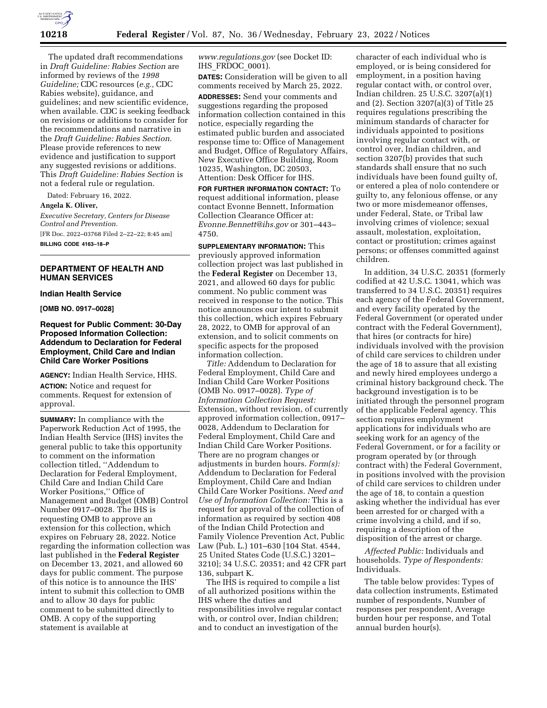

The updated draft recommendations in *Draft Guideline: Rabies Section* are informed by reviews of the *1998 Guideline;* CDC resources (*e.g.,* CDC Rabies website), guidance, and guidelines; and new scientific evidence, when available. CDC is seeking feedback on revisions or additions to consider for the recommendations and narrative in the *Draft Guideline: Rabies Section.*  Please provide references to new evidence and justification to support any suggested revisions or additions. This *Draft Guideline: Rabies Section* is not a federal rule or regulation.

Dated: February 16, 2022.

## **Angela K. Oliver,**

*Executive Secretary, Centers for Disease Control and Prevention.* 

[FR Doc. 2022–03768 Filed 2–22–22; 8:45 am] **BILLING CODE 4163–18–P** 

**DEPARTMENT OF HEALTH AND HUMAN SERVICES** 

#### **Indian Health Service**

**[OMB NO. 0917–0028]** 

# **Request for Public Comment: 30-Day Proposed Information Collection: Addendum to Declaration for Federal Employment, Child Care and Indian Child Care Worker Positions**

**AGENCY:** Indian Health Service, HHS. **ACTION:** Notice and request for comments. Request for extension of approval.

**SUMMARY:** In compliance with the Paperwork Reduction Act of 1995, the Indian Health Service (IHS) invites the general public to take this opportunity to comment on the information collection titled, ''Addendum to Declaration for Federal Employment, Child Care and Indian Child Care Worker Positions,'' Office of Management and Budget (OMB) Control Number 0917–0028. The IHS is requesting OMB to approve an extension for this collection, which expires on February 28, 2022. Notice regarding the information collection was last published in the **Federal Register**  on December 13, 2021, and allowed 60 days for public comment. The purpose of this notice is to announce the IHS' intent to submit this collection to OMB and to allow 30 days for public comment to be submitted directly to OMB. A copy of the supporting statement is available at

*[www.regulations.gov](http://www.regulations.gov)* (see Docket ID: IHS FRDOC 0001).

**DATES:** Consideration will be given to all comments received by March 25, 2022.

**ADDRESSES:** Send your comments and suggestions regarding the proposed information collection contained in this notice, especially regarding the estimated public burden and associated response time to: Office of Management and Budget, Office of Regulatory Affairs, New Executive Office Building, Room 10235, Washington, DC 20503, Attention: Desk Officer for IHS.

**FOR FURTHER INFORMATION CONTACT:** To request additional information, please contact Evonne Bennett, Information Collection Clearance Officer at: *[Evonne.Bennett@ihs.gov](mailto:Evonne.Bennett@ihs.gov)* or 301–443– 4750.

**SUPPLEMENTARY INFORMATION:** This previously approved information collection project was last published in the **Federal Register** on December 13, 2021, and allowed 60 days for public comment. No public comment was received in response to the notice. This notice announces our intent to submit this collection, which expires February 28, 2022, to OMB for approval of an extension, and to solicit comments on specific aspects for the proposed information collection.

*Title:* Addendum to Declaration for Federal Employment, Child Care and Indian Child Care Worker Positions (OMB No. 0917–0028). *Type of Information Collection Request:*  Extension, without revision, of currently approved information collection, 0917– 0028, Addendum to Declaration for Federal Employment, Child Care and Indian Child Care Worker Positions. There are no program changes or adjustments in burden hours. *Form(s):*  Addendum to Declaration for Federal Employment, Child Care and Indian Child Care Worker Positions. *Need and Use of Information Collection:* This is a request for approval of the collection of information as required by section 408 of the Indian Child Protection and Family Violence Prevention Act, Public Law (Pub. L.) 101–630 [104 Stat. 4544, 25 United States Code (U.S.C.) 3201– 3210]; 34 U.S.C. 20351; and 42 CFR part 136, subpart K.

The IHS is required to compile a list of all authorized positions within the IHS where the duties and responsibilities involve regular contact with, or control over, Indian children; and to conduct an investigation of the

character of each individual who is employed, or is being considered for employment, in a position having regular contact with, or control over, Indian children. 25 U.S.C. 3207(a)(1) and (2). Section 3207(a)(3) of Title 25 requires regulations prescribing the minimum standards of character for individuals appointed to positions involving regular contact with, or control over, Indian children, and section 3207(b) provides that such standards shall ensure that no such individuals have been found guilty of, or entered a plea of nolo contendere or guilty to, any felonious offense, or any two or more misdemeanor offenses, under Federal, State, or Tribal law involving crimes of violence; sexual assault, molestation, exploitation, contact or prostitution; crimes against persons; or offenses committed against children.

In addition, 34 U.S.C. 20351 (formerly codified at 42 U.S.C. 13041, which was transferred to 34 U.S.C. 20351) requires each agency of the Federal Government, and every facility operated by the Federal Government (or operated under contract with the Federal Government), that hires (or contracts for hire) individuals involved with the provision of child care services to children under the age of 18 to assure that all existing and newly hired employees undergo a criminal history background check. The background investigation is to be initiated through the personnel program of the applicable Federal agency. This section requires employment applications for individuals who are seeking work for an agency of the Federal Government, or for a facility or program operated by (or through contract with) the Federal Government, in positions involved with the provision of child care services to children under the age of 18, to contain a question asking whether the individual has ever been arrested for or charged with a crime involving a child, and if so, requiring a description of the disposition of the arrest or charge.

*Affected Public:* Individuals and households. *Type of Respondents:*  Individuals.

The table below provides: Types of data collection instruments, Estimated number of respondents, Number of responses per respondent, Average burden hour per response, and Total annual burden hour(s).